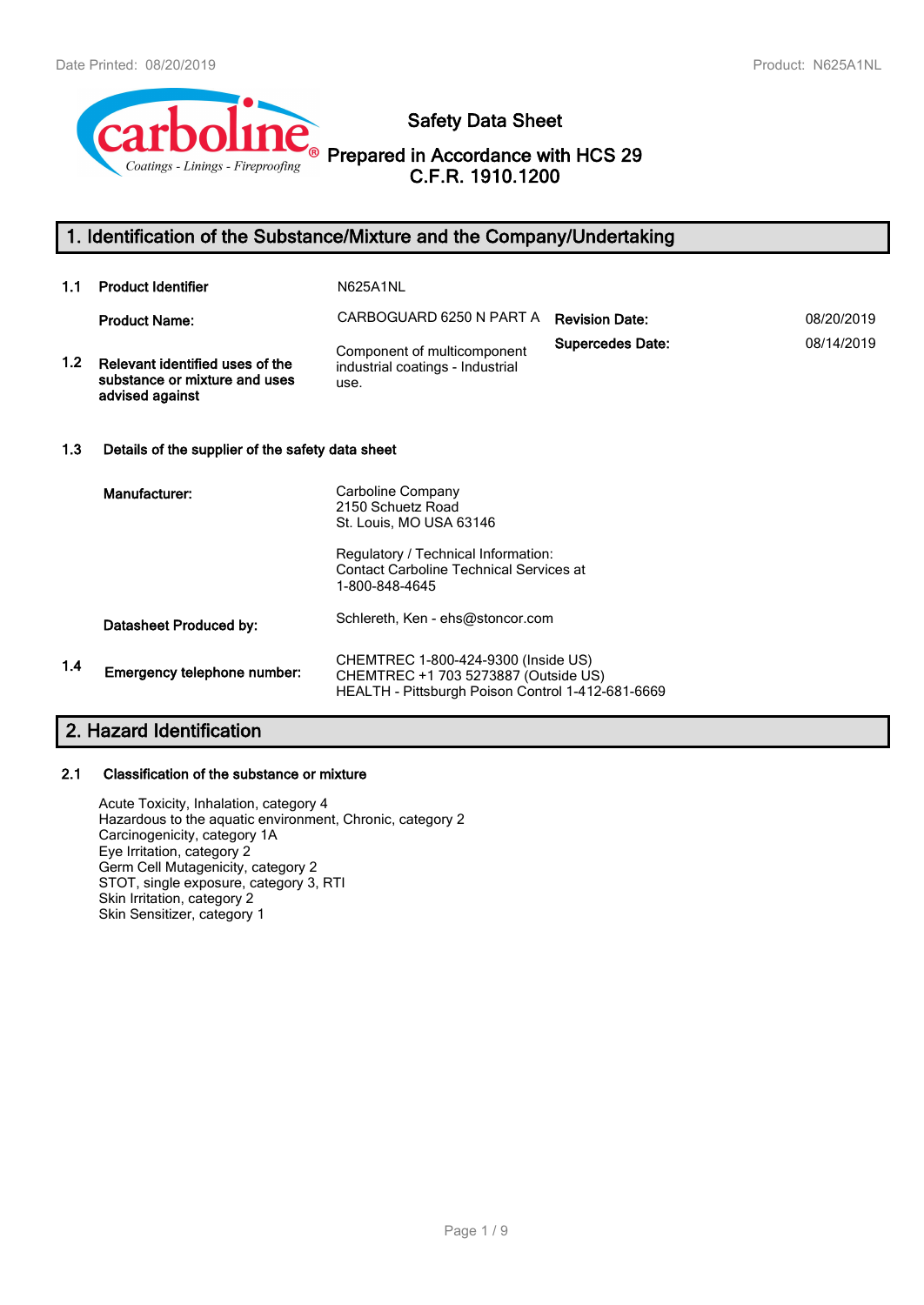

# **Safety Data Sheet**

**Prepared in Accordance with HCS 29 C.F.R. 1910.1200**

# **1. Identification of the Substance/Mixture and the Company/Undertaking**

| 1.1 | <b>Product Identifier</b>                                                           | N625A1NL                                                                                                                         |                         |            |
|-----|-------------------------------------------------------------------------------------|----------------------------------------------------------------------------------------------------------------------------------|-------------------------|------------|
|     | <b>Product Name:</b>                                                                | CARBOGUARD 6250 N PART A                                                                                                         | <b>Revision Date:</b>   | 08/20/2019 |
| 1.2 | Relevant identified uses of the<br>substance or mixture and uses<br>advised against | Component of multicomponent<br>industrial coatings - Industrial<br>use.                                                          | <b>Supercedes Date:</b> | 08/14/2019 |
| 1.3 | Details of the supplier of the safety data sheet                                    |                                                                                                                                  |                         |            |
|     | Manufacturer:                                                                       | Carboline Company<br>2150 Schuetz Road<br>St. Louis, MO USA 63146                                                                |                         |            |
|     |                                                                                     | Regulatory / Technical Information:<br><b>Contact Carboline Technical Services at</b><br>1-800-848-4645                          |                         |            |
|     | Datasheet Produced by:                                                              | Schlereth, Ken - ehs@stoncor.com                                                                                                 |                         |            |
| 1.4 | Emergency telephone number:                                                         | CHEMTREC 1-800-424-9300 (Inside US)<br>CHEMTREC +1 703 5273887 (Outside US)<br>HEALTH - Pittsburgh Poison Control 1-412-681-6669 |                         |            |
|     |                                                                                     |                                                                                                                                  |                         |            |

# **2. Hazard Identification**

# **2.1 Classification of the substance or mixture**

Acute Toxicity, Inhalation, category 4 Hazardous to the aquatic environment, Chronic, category 2 Carcinogenicity, category 1A Eye Irritation, category 2 Germ Cell Mutagenicity, category 2 STOT, single exposure, category 3, RTI Skin Irritation, category 2 Skin Sensitizer, category 1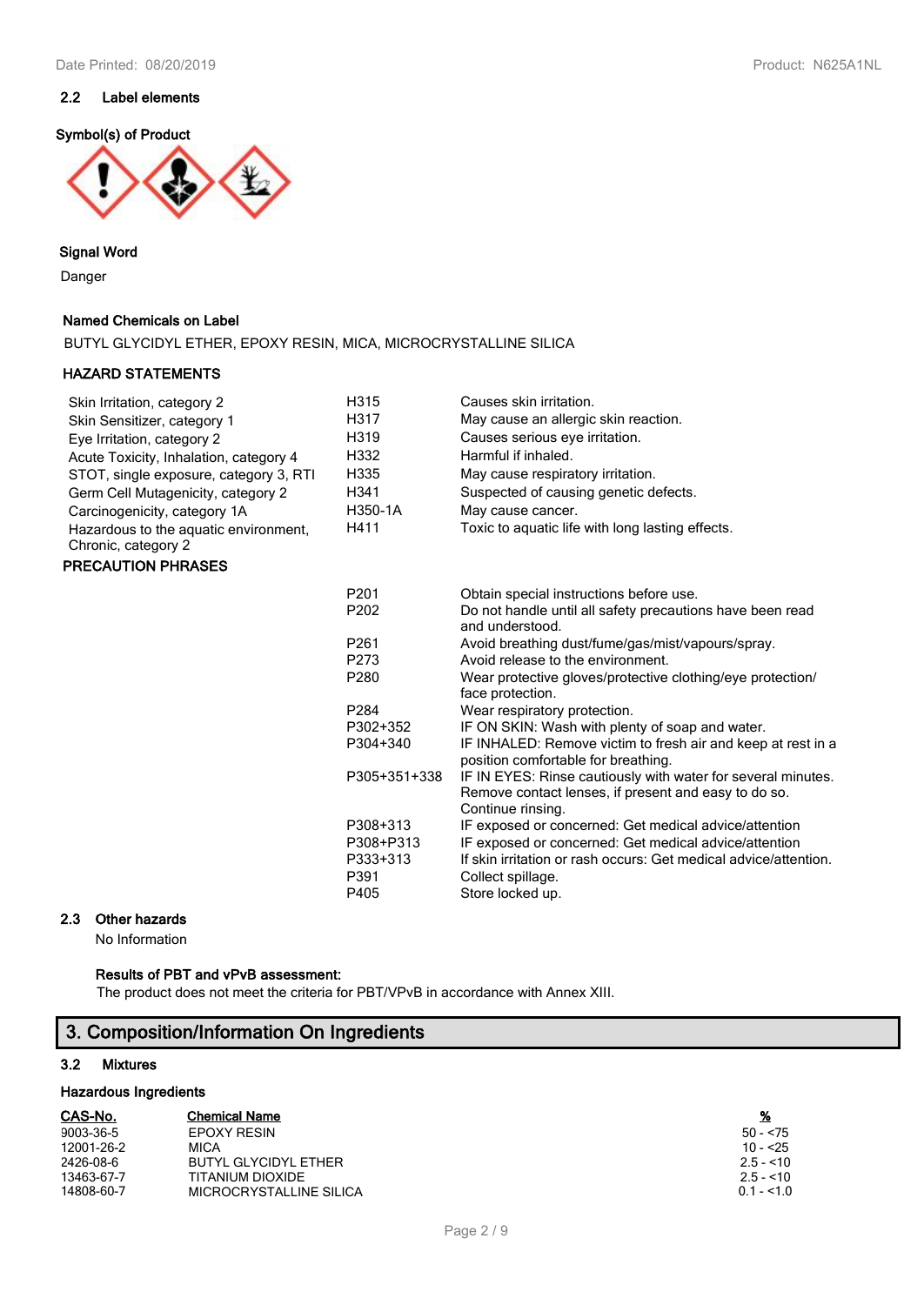# **2.2 Label elements**

# **Symbol(s) of Product**



# **Signal Word**

Danger

# **Named Chemicals on Label**

BUTYL GLYCIDYL ETHER, EPOXY RESIN, MICA, MICROCRYSTALLINE SILICA

### **HAZARD STATEMENTS**

| Skin Irritation, category 2            | H315              | Causes skin irritation.                          |
|----------------------------------------|-------------------|--------------------------------------------------|
| Skin Sensitizer, category 1            | H317              | May cause an allergic skin reaction.             |
| Eye Irritation, category 2             | H <sub>3</sub> 19 | Causes serious eye irritation.                   |
| Acute Toxicity, Inhalation, category 4 | H332              | Harmful if inhaled.                              |
| STOT, single exposure, category 3, RTI | H335              | May cause respiratory irritation.                |
| Germ Cell Mutagenicity, category 2     | H <sub>341</sub>  | Suspected of causing genetic defects.            |
| Carcinogenicity, category 1A           | H350-1A           | May cause cancer.                                |
| Hazardous to the aquatic environment,  | H411              | Toxic to aquatic life with long lasting effects. |
| Chronic, category 2                    |                   |                                                  |

# **PRECAUTION PHRASES**

| P <sub>201</sub>  | Obtain special instructions before use.                                                                                                   |
|-------------------|-------------------------------------------------------------------------------------------------------------------------------------------|
| P <sub>202</sub>  | Do not handle until all safety precautions have been read<br>and understood.                                                              |
| P <sub>261</sub>  | Avoid breathing dust/fume/gas/mist/vapours/spray.                                                                                         |
| P273              | Avoid release to the environment.                                                                                                         |
| P <sub>280</sub>  | Wear protective gloves/protective clothing/eye protection/<br>face protection.                                                            |
| P <sub>2</sub> 84 | Wear respiratory protection.                                                                                                              |
| P302+352          | IF ON SKIN: Wash with plenty of soap and water.                                                                                           |
| P304+340          | IF INHALED: Remove victim to fresh air and keep at rest in a<br>position comfortable for breathing.                                       |
| P305+351+338      | IF IN EYES: Rinse cautiously with water for several minutes.<br>Remove contact lenses, if present and easy to do so.<br>Continue rinsing. |
| P308+313          | IF exposed or concerned: Get medical advice/attention                                                                                     |
| P308+P313         | IF exposed or concerned: Get medical advice/attention                                                                                     |
| P333+313          | If skin irritation or rash occurs: Get medical advice/attention.                                                                          |
| P391              | Collect spillage.                                                                                                                         |
| P405              | Store locked up.                                                                                                                          |

### **2.3 Other hazards**

No Information

# **Results of PBT and vPvB assessment:**

The product does not meet the criteria for PBT/VPvB in accordance with Annex XIII.

# **3. Composition/Information On Ingredients**

# **3.2 Mixtures**

# **Hazardous Ingredients**

| CAS-No.    | <b>Chemical Name</b>    | <u>%</u>    |
|------------|-------------------------|-------------|
| 9003-36-5  | EPOXY RESIN             | $50 - 75$   |
| 12001-26-2 | <b>MICA</b>             | $10 - 25$   |
| 2426-08-6  | BUTYL GLYCIDYL ETHER    | $2.5 - 10$  |
| 13463-67-7 | TITANIUM DIOXIDE        | $2.5 - 10$  |
| 14808-60-7 | MICROCRYSTALLINE SILICA | $0.1 - 1.0$ |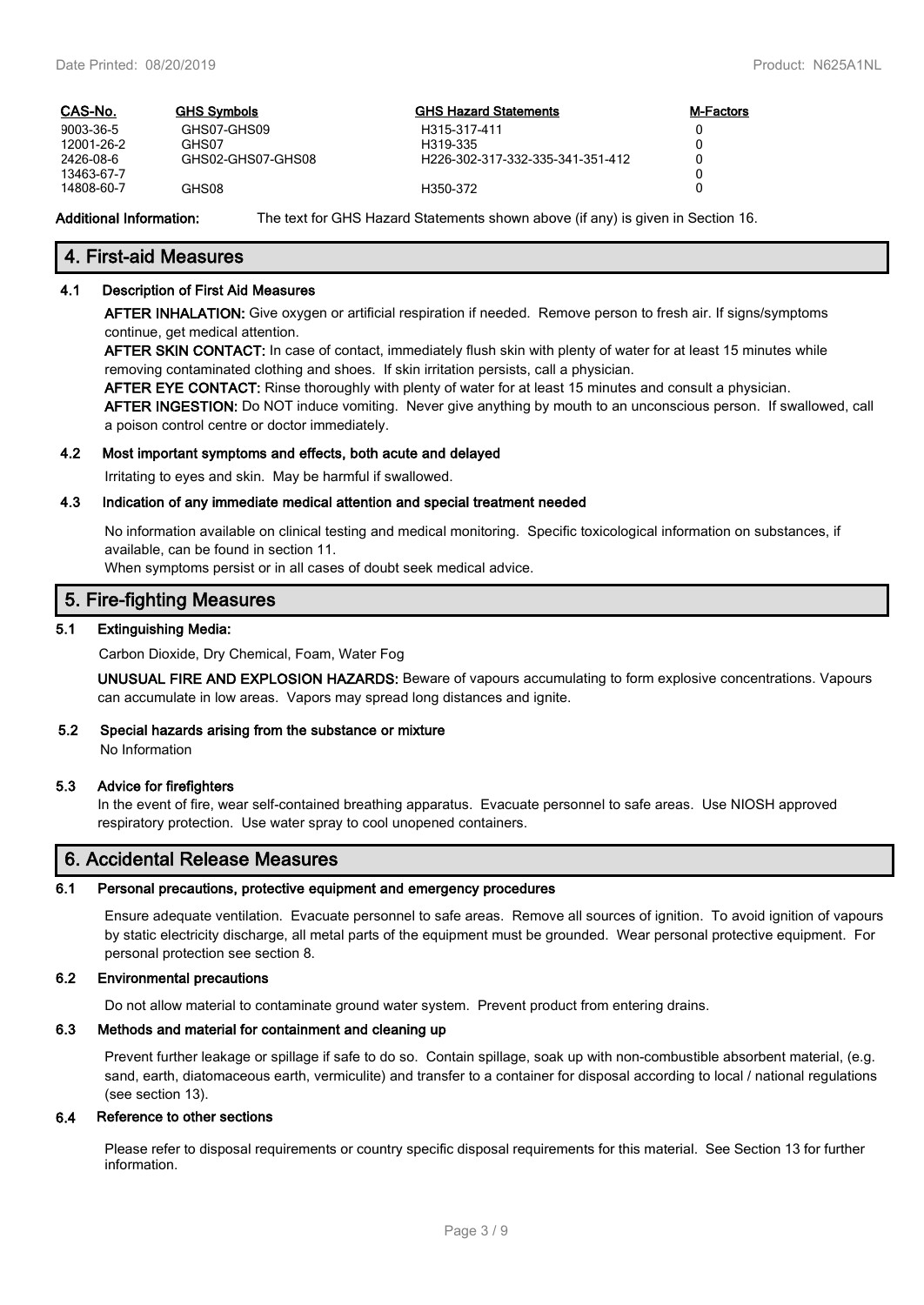| CAS-No.    | <b>GHS Symbols</b> | <b>GHS Hazard Statements</b>     | <b>M-Factors</b> |
|------------|--------------------|----------------------------------|------------------|
| 9003-36-5  | GHS07-GHS09        | H315-317-411                     |                  |
| 12001-26-2 | GHS07              | H319-335                         |                  |
| 2426-08-6  | GHS02-GHS07-GHS08  | H226-302-317-332-335-341-351-412 |                  |
| 13463-67-7 |                    |                                  |                  |
| 14808-60-7 | GHS08              | H350-372                         |                  |

**Additional Information:** The text for GHS Hazard Statements shown above (if any) is given in Section 16.

### **4. First-aid Measures**

#### **4.1 Description of First Aid Measures**

**AFTER INHALATION:** Give oxygen or artificial respiration if needed. Remove person to fresh air. If signs/symptoms continue, get medical attention.

**AFTER SKIN CONTACT:** In case of contact, immediately flush skin with plenty of water for at least 15 minutes while removing contaminated clothing and shoes. If skin irritation persists, call a physician.

**AFTER EYE CONTACT:** Rinse thoroughly with plenty of water for at least 15 minutes and consult a physician.

**AFTER INGESTION:** Do NOT induce vomiting. Never give anything by mouth to an unconscious person. If swallowed, call a poison control centre or doctor immediately.

#### **4.2 Most important symptoms and effects, both acute and delayed**

Irritating to eyes and skin. May be harmful if swallowed.

### **4.3 Indication of any immediate medical attention and special treatment needed**

No information available on clinical testing and medical monitoring. Specific toxicological information on substances, if available, can be found in section 11.

When symptoms persist or in all cases of doubt seek medical advice.

# **5. Fire-fighting Measures**

#### **5.1 Extinguishing Media:**

Carbon Dioxide, Dry Chemical, Foam, Water Fog

**UNUSUAL FIRE AND EXPLOSION HAZARDS:** Beware of vapours accumulating to form explosive concentrations. Vapours can accumulate in low areas. Vapors may spread long distances and ignite.

### **5.2 Special hazards arising from the substance or mixture**

No Information

#### **5.3 Advice for firefighters**

In the event of fire, wear self-contained breathing apparatus. Evacuate personnel to safe areas. Use NIOSH approved respiratory protection. Use water spray to cool unopened containers.

### **6. Accidental Release Measures**

### **6.1 Personal precautions, protective equipment and emergency procedures**

Ensure adequate ventilation. Evacuate personnel to safe areas. Remove all sources of ignition. To avoid ignition of vapours by static electricity discharge, all metal parts of the equipment must be grounded. Wear personal protective equipment. For personal protection see section 8.

### **6.2 Environmental precautions**

Do not allow material to contaminate ground water system. Prevent product from entering drains.

# **6.3 Methods and material for containment and cleaning up**

Prevent further leakage or spillage if safe to do so. Contain spillage, soak up with non-combustible absorbent material, (e.g. sand, earth, diatomaceous earth, vermiculite) and transfer to a container for disposal according to local / national regulations (see section 13).

### **6.4 Reference to other sections**

Please refer to disposal requirements or country specific disposal requirements for this material. See Section 13 for further information.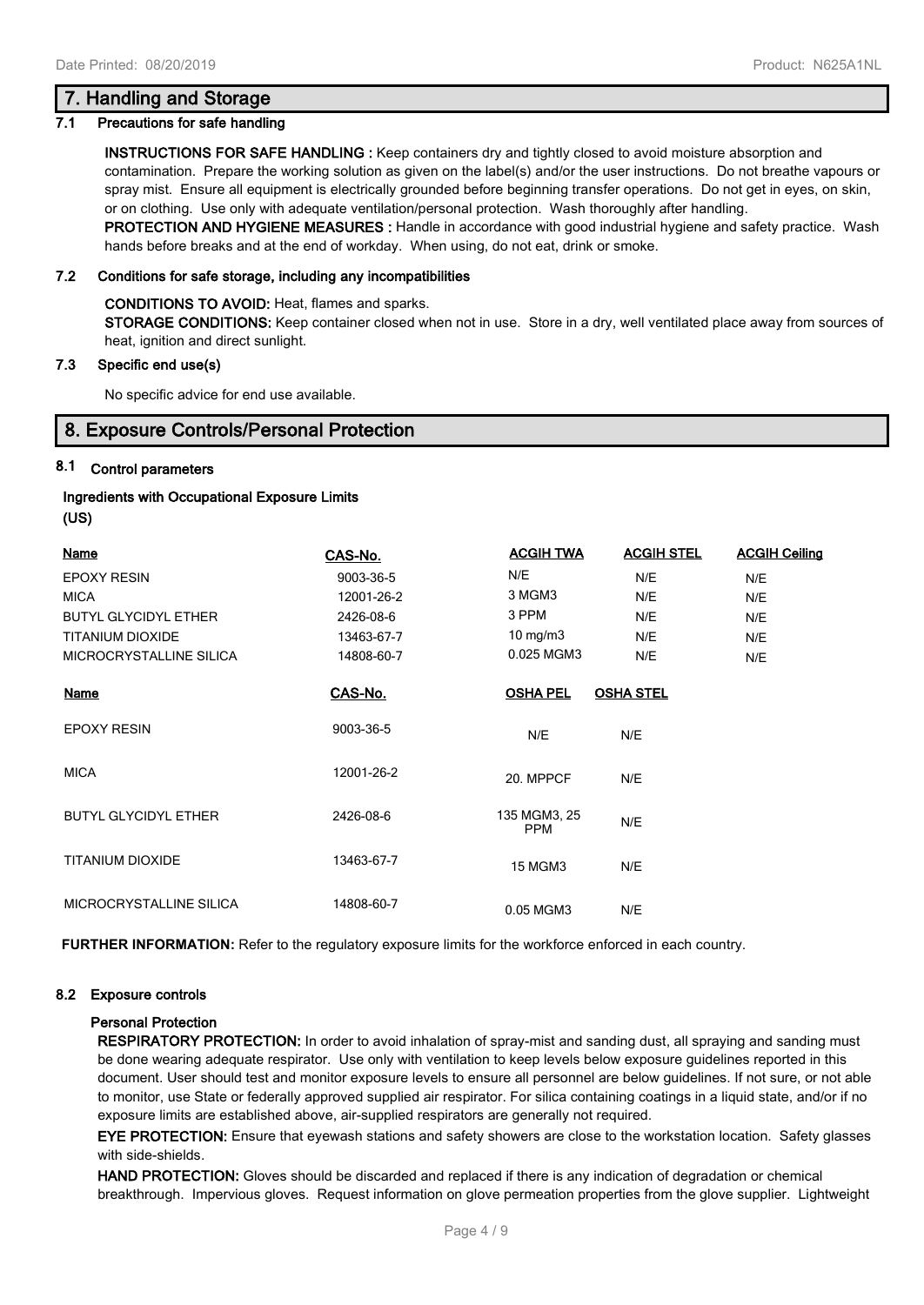# **7. Handling and Storage**

### **7.1 Precautions for safe handling**

**INSTRUCTIONS FOR SAFE HANDLING :** Keep containers dry and tightly closed to avoid moisture absorption and contamination. Prepare the working solution as given on the label(s) and/or the user instructions. Do not breathe vapours or spray mist. Ensure all equipment is electrically grounded before beginning transfer operations. Do not get in eyes, on skin, or on clothing. Use only with adequate ventilation/personal protection. Wash thoroughly after handling. **PROTECTION AND HYGIENE MEASURES :** Handle in accordance with good industrial hygiene and safety practice. Wash

hands before breaks and at the end of workday. When using, do not eat, drink or smoke.

### **7.2 Conditions for safe storage, including any incompatibilities**

#### **CONDITIONS TO AVOID:** Heat, flames and sparks.

**STORAGE CONDITIONS:** Keep container closed when not in use. Store in a dry, well ventilated place away from sources of heat, ignition and direct sunlight.

### **7.3 Specific end use(s)**

No specific advice for end use available.

# **8. Exposure Controls/Personal Protection**

# **8.1 Control parameters**

### **Ingredients with Occupational Exposure Limits**

**(US)**

| <b>Name</b>                 | CAS-No.    | <b>ACGIH TWA</b>           | <b>ACGIH STEL</b> | <b>ACGIH Ceiling</b> |
|-----------------------------|------------|----------------------------|-------------------|----------------------|
| <b>EPOXY RESIN</b>          | 9003-36-5  | N/E                        | N/E               | N/E                  |
| <b>MICA</b>                 | 12001-26-2 | 3 MGM3                     | N/E               | N/E                  |
| <b>BUTYL GLYCIDYL ETHER</b> | 2426-08-6  | 3 PPM                      | N/E               | N/E                  |
| <b>TITANIUM DIOXIDE</b>     | 13463-67-7 | $10$ mg/m $3$              | N/E               | N/E                  |
| MICROCRYSTALLINE SILICA     | 14808-60-7 | 0.025 MGM3                 | N/E               | N/E                  |
| <b>Name</b>                 | CAS-No.    | <b>OSHA PEL</b>            | <b>OSHA STEL</b>  |                      |
| <b>EPOXY RESIN</b>          | 9003-36-5  | N/E                        | N/E               |                      |
| <b>MICA</b>                 | 12001-26-2 | 20. MPPCF                  | N/E               |                      |
| <b>BUTYL GLYCIDYL ETHER</b> | 2426-08-6  | 135 MGM3, 25<br><b>PPM</b> | N/E               |                      |
| <b>TITANIUM DIOXIDE</b>     | 13463-67-7 | <b>15 MGM3</b>             | N/E               |                      |
| MICROCRYSTALLINE SILICA     | 14808-60-7 | 0.05 MGM3                  | N/E               |                      |

**FURTHER INFORMATION:** Refer to the regulatory exposure limits for the workforce enforced in each country.

#### **8.2 Exposure controls**

#### **Personal Protection**

**RESPIRATORY PROTECTION:** In order to avoid inhalation of spray-mist and sanding dust, all spraying and sanding must be done wearing adequate respirator. Use only with ventilation to keep levels below exposure guidelines reported in this document. User should test and monitor exposure levels to ensure all personnel are below guidelines. If not sure, or not able to monitor, use State or federally approved supplied air respirator. For silica containing coatings in a liquid state, and/or if no exposure limits are established above, air-supplied respirators are generally not required.

**EYE PROTECTION:** Ensure that eyewash stations and safety showers are close to the workstation location. Safety glasses with side-shields.

**HAND PROTECTION:** Gloves should be discarded and replaced if there is any indication of degradation or chemical breakthrough. Impervious gloves. Request information on glove permeation properties from the glove supplier. Lightweight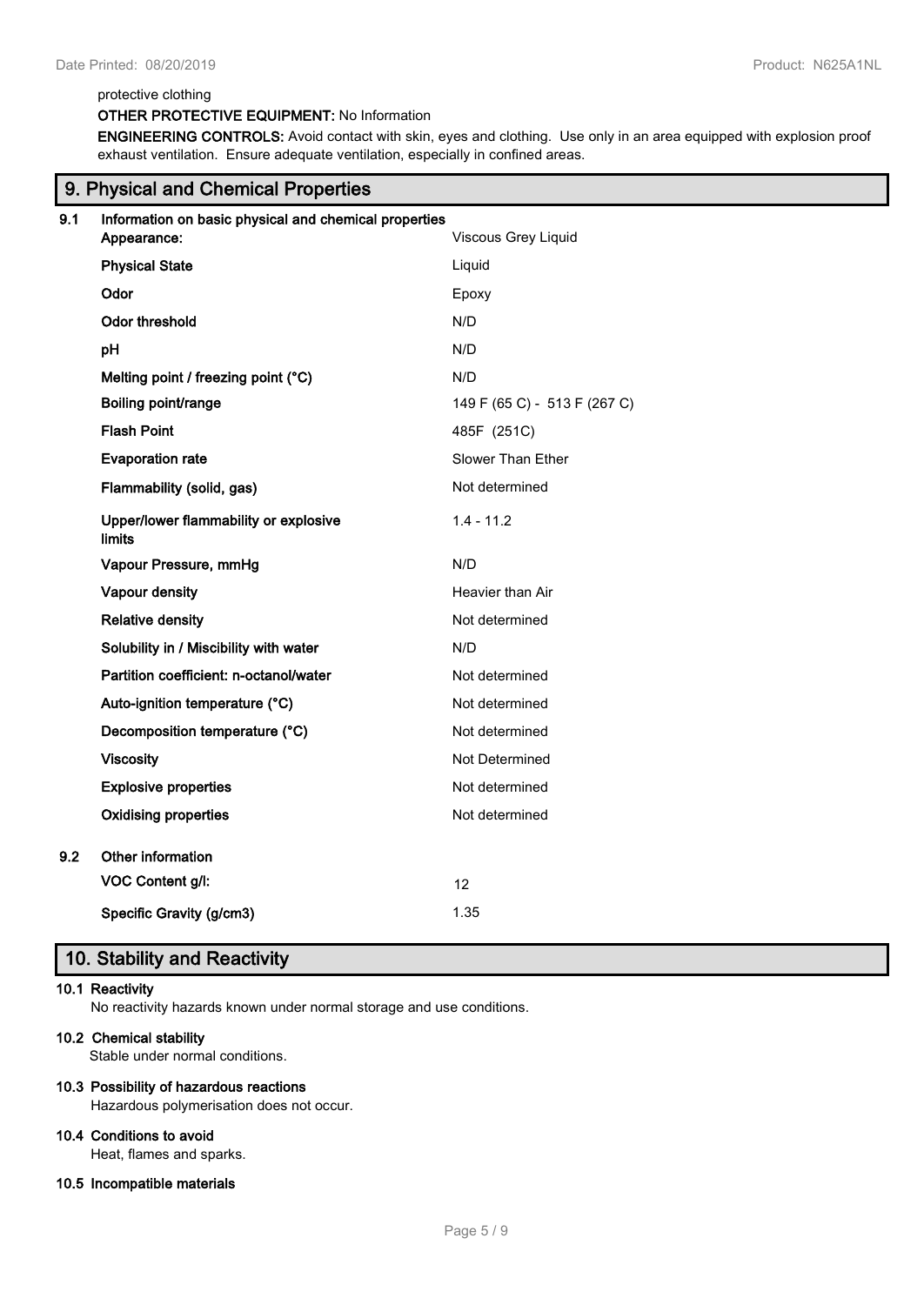#### protective clothing

# **OTHER PROTECTIVE EQUIPMENT:** No Information

**ENGINEERING CONTROLS:** Avoid contact with skin, eyes and clothing. Use only in an area equipped with explosion proof exhaust ventilation. Ensure adequate ventilation, especially in confined areas.

|     | 9. Physical and Chemical Properties                                          |                              |  |  |  |  |
|-----|------------------------------------------------------------------------------|------------------------------|--|--|--|--|
| 9.1 | Information on basic physical and chemical properties<br>Viscous Grey Liquid |                              |  |  |  |  |
|     | Appearance:                                                                  |                              |  |  |  |  |
|     | <b>Physical State</b>                                                        | Liquid                       |  |  |  |  |
|     | Odor                                                                         | Epoxy                        |  |  |  |  |
|     | Odor threshold                                                               | N/D                          |  |  |  |  |
|     | pH                                                                           | N/D                          |  |  |  |  |
|     | Melting point / freezing point (°C)                                          | N/D                          |  |  |  |  |
|     | Boiling point/range                                                          | 149 F (65 C) - 513 F (267 C) |  |  |  |  |
|     | <b>Flash Point</b>                                                           | 485F (251C)                  |  |  |  |  |
|     | <b>Evaporation rate</b>                                                      | <b>Slower Than Ether</b>     |  |  |  |  |
|     | Flammability (solid, gas)                                                    | Not determined               |  |  |  |  |
|     | Upper/lower flammability or explosive<br><b>limits</b>                       | $1.4 - 11.2$                 |  |  |  |  |
|     | Vapour Pressure, mmHg                                                        | N/D                          |  |  |  |  |
|     | Vapour density                                                               | Heavier than Air             |  |  |  |  |
|     | <b>Relative density</b>                                                      | Not determined               |  |  |  |  |
|     | Solubility in / Miscibility with water                                       | N/D                          |  |  |  |  |
|     | Partition coefficient: n-octanol/water                                       | Not determined               |  |  |  |  |
|     | Auto-ignition temperature (°C)                                               | Not determined               |  |  |  |  |
|     | Decomposition temperature (°C)                                               | Not determined               |  |  |  |  |
|     | <b>Viscosity</b>                                                             | Not Determined               |  |  |  |  |
|     | <b>Explosive properties</b>                                                  | Not determined               |  |  |  |  |
|     | <b>Oxidising properties</b>                                                  | Not determined               |  |  |  |  |
| 9.2 | Other information                                                            |                              |  |  |  |  |
|     | VOC Content g/l:                                                             | 12                           |  |  |  |  |
|     | Specific Gravity (g/cm3)                                                     | 1.35                         |  |  |  |  |
|     |                                                                              |                              |  |  |  |  |

# **10. Stability and Reactivity**

### **10.1 Reactivity**

No reactivity hazards known under normal storage and use conditions.

# **10.2 Chemical stability**

Stable under normal conditions.

# **10.3 Possibility of hazardous reactions**

Hazardous polymerisation does not occur.

### **10.4 Conditions to avoid**

Heat, flames and sparks.

# **10.5 Incompatible materials**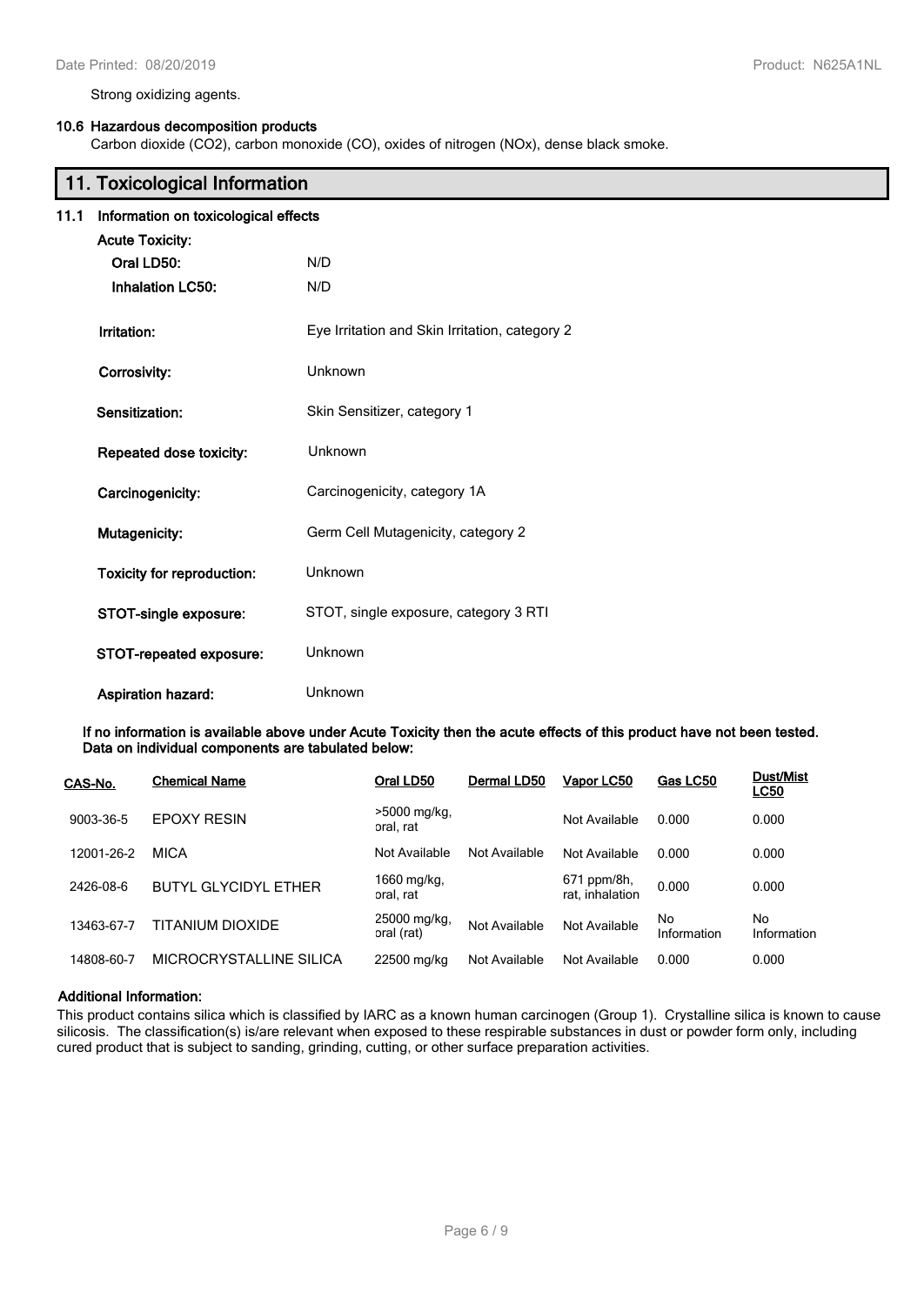Strong oxidizing agents.

### **10.6 Hazardous decomposition products**

Carbon dioxide (CO2), carbon monoxide (CO), oxides of nitrogen (NOx), dense black smoke.

| 11. Toxicological Information |                                      |                                                |  |  |  |
|-------------------------------|--------------------------------------|------------------------------------------------|--|--|--|
| 11.1                          | Information on toxicological effects |                                                |  |  |  |
|                               | <b>Acute Toxicity:</b>               |                                                |  |  |  |
|                               | Oral LD50:                           | N/D                                            |  |  |  |
|                               | <b>Inhalation LC50:</b>              | N/D                                            |  |  |  |
|                               | Irritation:                          | Eye Irritation and Skin Irritation, category 2 |  |  |  |
|                               | Corrosivity:                         | Unknown                                        |  |  |  |
|                               | Sensitization:                       | Skin Sensitizer, category 1                    |  |  |  |
|                               | Repeated dose toxicity:              | Unknown                                        |  |  |  |
|                               | Carcinogenicity:                     | Carcinogenicity, category 1A                   |  |  |  |
|                               | Mutagenicity:                        | Germ Cell Mutagenicity, category 2             |  |  |  |
|                               | Toxicity for reproduction:           | Unknown                                        |  |  |  |
|                               | STOT-single exposure:                | STOT, single exposure, category 3 RTI          |  |  |  |
|                               | STOT-repeated exposure:              | Unknown                                        |  |  |  |
|                               | <b>Aspiration hazard:</b>            | Unknown                                        |  |  |  |

**If no information is available above under Acute Toxicity then the acute effects of this product have not been tested. Data on individual components are tabulated below:**

| CAS-No.    | <b>Chemical Name</b>        | Oral LD50                   | Dermal LD50   | Vapor LC50                     | Gas LC50           | <b>Dust/Mist</b><br><u>LC50</u> |
|------------|-----------------------------|-----------------------------|---------------|--------------------------------|--------------------|---------------------------------|
| 9003-36-5  | <b>EPOXY RESIN</b>          | $>5000$ mg/kg,<br>oral. rat |               | Not Available                  | 0.000              | 0.000                           |
| 12001-26-2 | <b>MICA</b>                 | Not Available               | Not Available | Not Available                  | 0.000              | 0.000                           |
| 2426-08-6  | <b>BUTYL GLYCIDYL ETHER</b> | 1660 mg/kg,<br>oral, rat    |               | 671 ppm/8h,<br>rat, inhalation | 0.000              | 0.000                           |
| 13463-67-7 | TITANIUM DIOXIDE            | 25000 mg/kg,<br>oral (rat)  | Not Available | Not Available                  | No.<br>Information | No<br>Information               |
| 14808-60-7 | MICROCRYSTALLINE SILICA     | 22500 mg/kg                 | Not Available | Not Available                  | 0.000              | 0.000                           |

# **Additional Information:**

This product contains silica which is classified by IARC as a known human carcinogen (Group 1). Crystalline silica is known to cause silicosis. The classification(s) is/are relevant when exposed to these respirable substances in dust or powder form only, including cured product that is subject to sanding, grinding, cutting, or other surface preparation activities.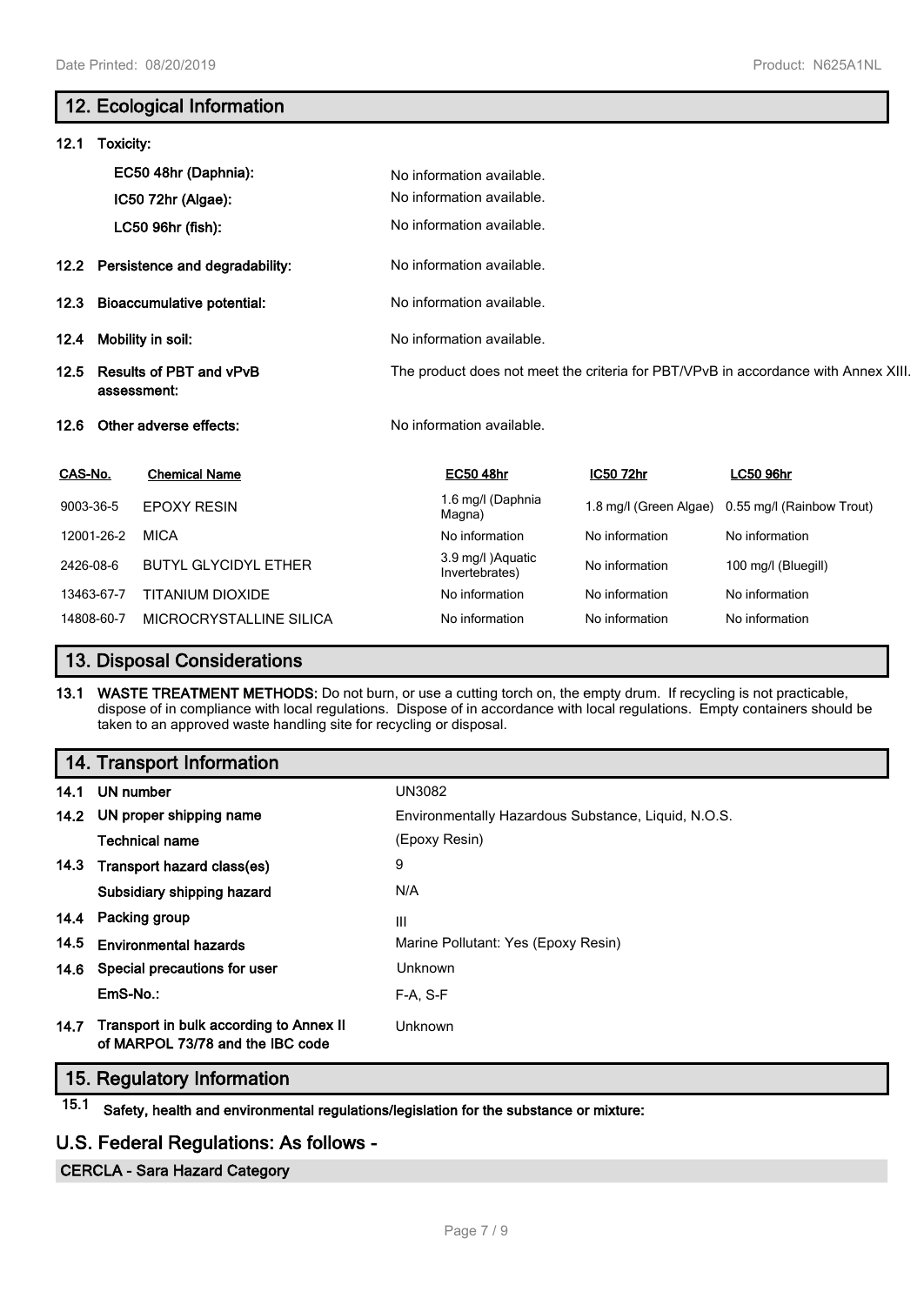# **12. Ecological Information**

| 12.1                                                  | Toxicity:         |                                |                                    |                                                                                    |                           |  |  |
|-------------------------------------------------------|-------------------|--------------------------------|------------------------------------|------------------------------------------------------------------------------------|---------------------------|--|--|
|                                                       |                   | EC50 48hr (Daphnia):           | No information available.          |                                                                                    |                           |  |  |
|                                                       |                   | IC50 72hr (Algae):             | No information available.          |                                                                                    |                           |  |  |
|                                                       |                   | LC50 96hr (fish):              | No information available.          |                                                                                    |                           |  |  |
| 12.2 <sub>2</sub>                                     |                   | Persistence and degradability: | No information available.          |                                                                                    |                           |  |  |
| <b>Bioaccumulative potential:</b><br>12.3             |                   | No information available.      |                                    |                                                                                    |                           |  |  |
| 12.4                                                  | Mobility in soil: |                                | No information available.          |                                                                                    |                           |  |  |
| <b>Results of PBT and vPvB</b><br>12.5<br>assessment: |                   |                                |                                    | The product does not meet the criteria for PBT/VPvB in accordance with Annex XIII. |                           |  |  |
| 12.6                                                  |                   | Other adverse effects:         | No information available.          |                                                                                    |                           |  |  |
| CAS-No.                                               |                   | <b>Chemical Name</b>           | <b>EC50 48hr</b>                   | IC50 72hr                                                                          | <b>LC50 96hr</b>          |  |  |
| 9003-36-5                                             |                   | <b>EPOXY RESIN</b>             | 1.6 mg/l (Daphnia<br>Magna)        | 1.8 mg/l (Green Algae)                                                             | 0.55 mg/l (Rainbow Trout) |  |  |
|                                                       | 12001-26-2        | <b>MICA</b>                    | No information                     | No information                                                                     | No information            |  |  |
| 2426-08-6                                             |                   | <b>BUTYL GLYCIDYL ETHER</b>    | 3.9 mg/l)Aquatic<br>Invertebrates) | No information                                                                     | 100 mg/l (Bluegill)       |  |  |
|                                                       | 13463-67-7        | <b>TITANIUM DIOXIDE</b>        | No information                     | No information                                                                     | No information            |  |  |
|                                                       | 14808-60-7        | MICROCRYSTALLINE SILICA        | No information                     | No information                                                                     | No information            |  |  |

# **13. Disposal Considerations**

**13.1 WASTE TREATMENT METHODS:** Do not burn, or use a cutting torch on, the empty drum. If recycling is not practicable, dispose of in compliance with local regulations. Dispose of in accordance with local regulations. Empty containers should be taken to an approved waste handling site for recycling or disposal.

# **14. Transport Information**

| 14.1 | <b>UN number</b>                                                            | UN3082                                              |
|------|-----------------------------------------------------------------------------|-----------------------------------------------------|
|      | 14.2 UN proper shipping name                                                | Environmentally Hazardous Substance, Liquid, N.O.S. |
|      | <b>Technical name</b>                                                       | (Epoxy Resin)                                       |
|      | 14.3 Transport hazard class(es)                                             | 9                                                   |
|      | Subsidiary shipping hazard                                                  | N/A                                                 |
|      | 14.4 Packing group                                                          | Ш                                                   |
| 14.5 | <b>Environmental hazards</b>                                                | Marine Pollutant: Yes (Epoxy Resin)                 |
|      | 14.6 Special precautions for user                                           | Unknown                                             |
|      | EmS-No.:                                                                    | $F-A, S-F$                                          |
| 14.7 | Transport in bulk according to Annex II<br>of MARPOL 73/78 and the IBC code | Unknown                                             |

# **15. Regulatory Information**

**15.1 Safety, health and environmental regulations/legislation for the substance or mixture:**

# **U.S. Federal Regulations: As follows -**

**CERCLA - Sara Hazard Category**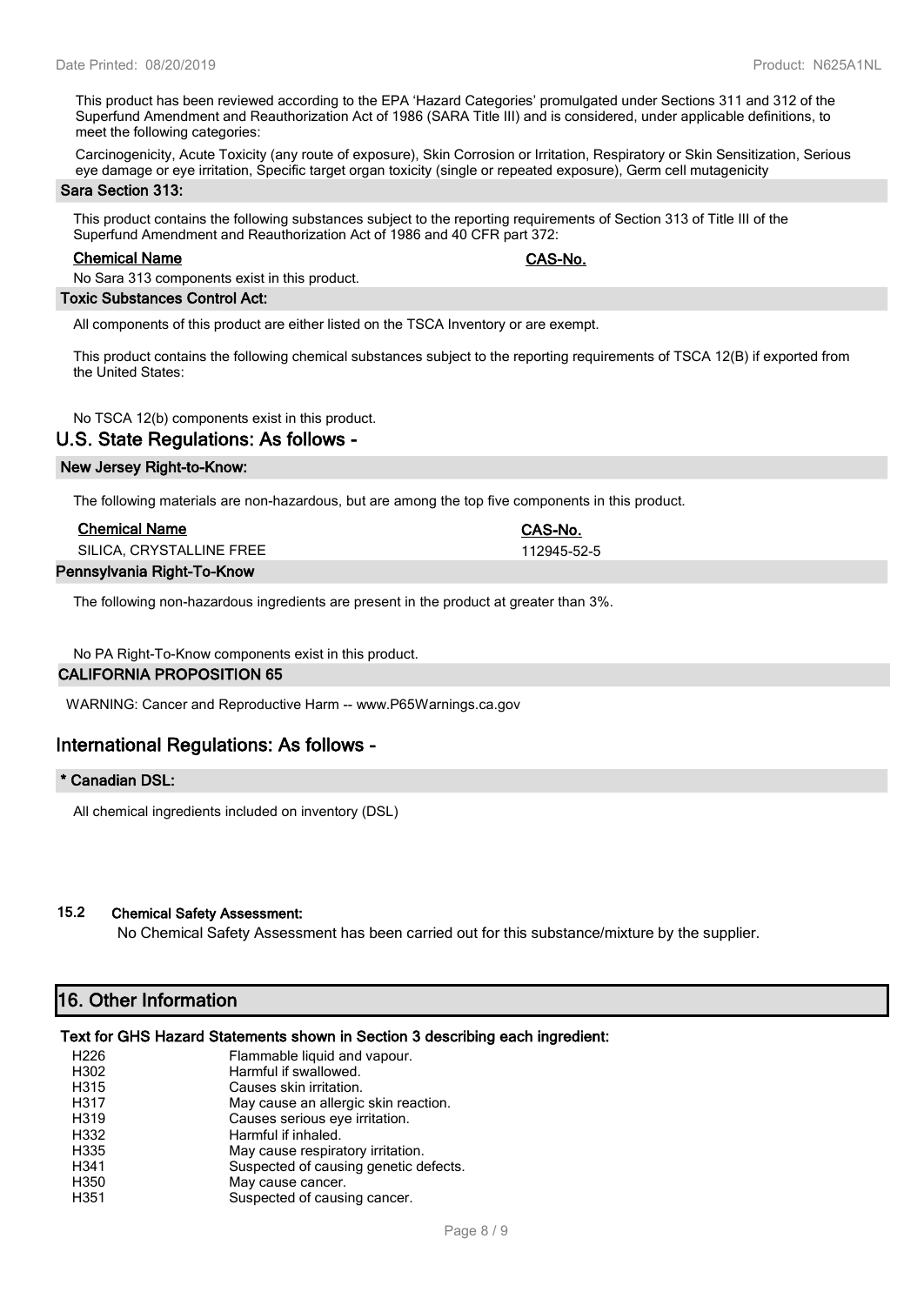This product has been reviewed according to the EPA 'Hazard Categories' promulgated under Sections 311 and 312 of the Superfund Amendment and Reauthorization Act of 1986 (SARA Title III) and is considered, under applicable definitions, to meet the following categories:

Carcinogenicity, Acute Toxicity (any route of exposure), Skin Corrosion or Irritation, Respiratory or Skin Sensitization, Serious eye damage or eye irritation, Specific target organ toxicity (single or repeated exposure), Germ cell mutagenicity

#### **Sara Section 313:**

This product contains the following substances subject to the reporting requirements of Section 313 of Title III of the Superfund Amendment and Reauthorization Act of 1986 and 40 CFR part 372:

#### **Chemical Name CAS-No.**

No Sara 313 components exist in this product.

# **Toxic Substances Control Act:**

All components of this product are either listed on the TSCA Inventory or are exempt.

This product contains the following chemical substances subject to the reporting requirements of TSCA 12(B) if exported from the United States:

No TSCA 12(b) components exist in this product.

# **U.S. State Regulations: As follows -**

# **New Jersey Right-to-Know:**

The following materials are non-hazardous, but are among the top five components in this product.

| <b>Chemical Name</b>       | CAS-No.     |  |
|----------------------------|-------------|--|
| SILICA, CRYSTALLINE FREE   | 112945-52-5 |  |
| Pennsylvania Right-To-Know |             |  |

The following non-hazardous ingredients are present in the product at greater than 3%.

# No PA Right-To-Know components exist in this product.

# **CALIFORNIA PROPOSITION 65**

WARNING: Cancer and Reproductive Harm -- www.P65Warnings.ca.gov

# **International Regulations: As follows -**

# **\* Canadian DSL:**

All chemical ingredients included on inventory (DSL)

# **15.2 Chemical Safety Assessment:**

No Chemical Safety Assessment has been carried out for this substance/mixture by the supplier.

# **16. Other Information**

# **Text for GHS Hazard Statements shown in Section 3 describing each ingredient:**

| H <sub>226</sub>  | Flammable liquid and vapour.          |
|-------------------|---------------------------------------|
| H302              | Harmful if swallowed.                 |
| H315              | Causes skin irritation.               |
| H317              | May cause an allergic skin reaction.  |
| H <sub>3</sub> 19 | Causes serious eye irritation.        |
| H332              | Harmful if inhaled.                   |
| H335              | May cause respiratory irritation.     |
| H341              | Suspected of causing genetic defects. |
| H350              | May cause cancer.                     |
| H351              | Suspected of causing cancer.          |